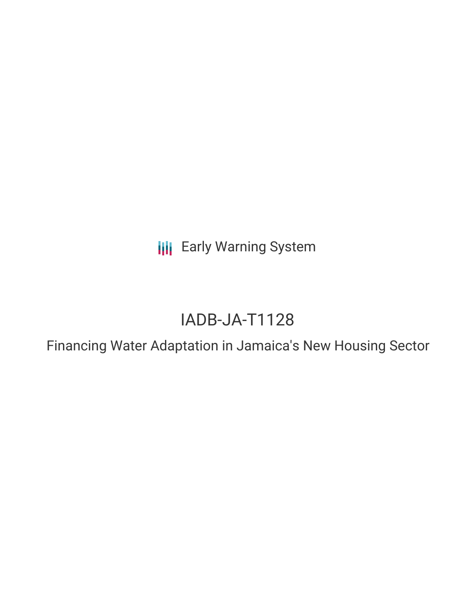**III** Early Warning System

# IADB-JA-T1128

Financing Water Adaptation in Jamaica's New Housing Sector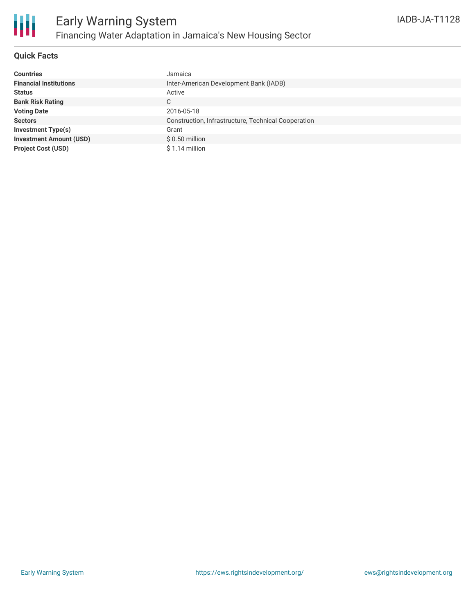

### **Quick Facts**

| <b>Countries</b>               | Jamaica                                             |
|--------------------------------|-----------------------------------------------------|
| <b>Financial Institutions</b>  | Inter-American Development Bank (IADB)              |
| <b>Status</b>                  | Active                                              |
| <b>Bank Risk Rating</b>        | C                                                   |
| <b>Voting Date</b>             | 2016-05-18                                          |
| <b>Sectors</b>                 | Construction, Infrastructure, Technical Cooperation |
| Investment Type(s)             | Grant                                               |
| <b>Investment Amount (USD)</b> | $$0.50$ million                                     |
| <b>Project Cost (USD)</b>      | $$1.14$ million                                     |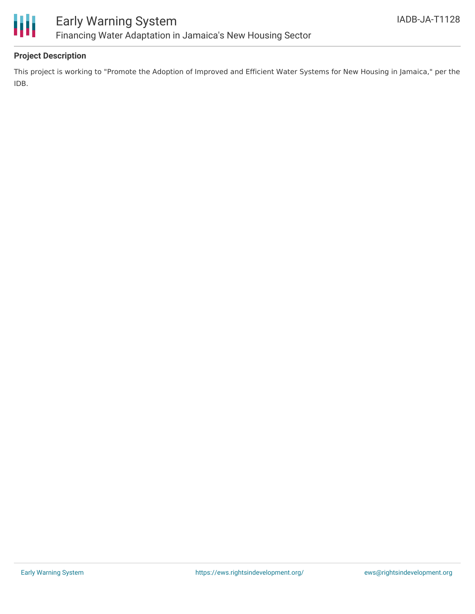

## **Project Description**

This project is working to "Promote the Adoption of Improved and Efficient Water Systems for New Housing in Jamaica," per the IDB.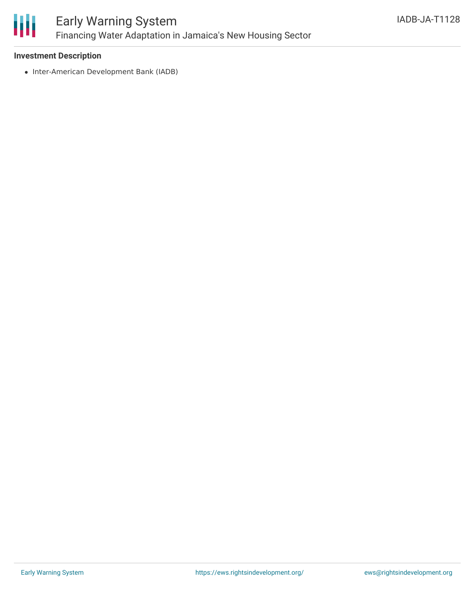

#### **Investment Description**

• Inter-American Development Bank (IADB)